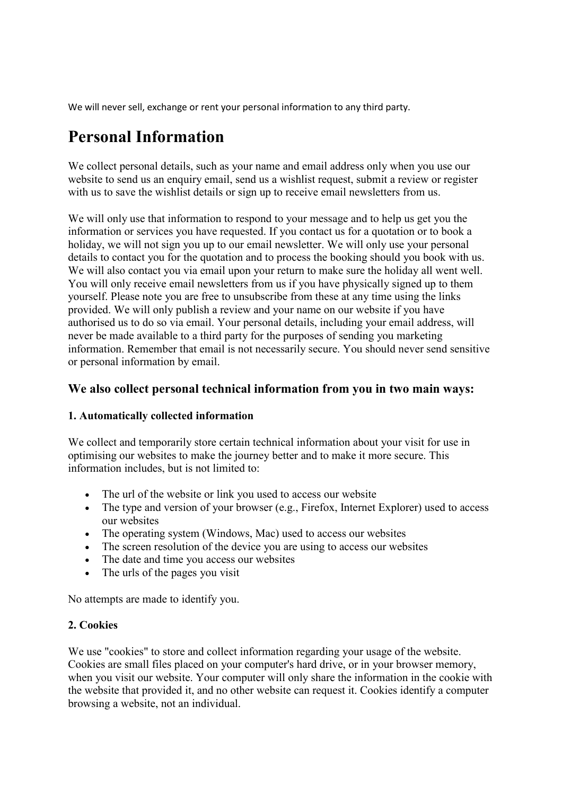We will never sell, exchange or rent your personal information to any third party.

# **Personal Information**

We collect personal details, such as your name and email address only when you use our website to send us an enquiry email, send us a wishlist request, submit a review or register with us to save the wishlist details or sign up to receive email newsletters from us.

We will only use that information to respond to your message and to help us get you the information or services you have requested. If you contact us for a quotation or to book a holiday, we will not sign you up to our email newsletter. We will only use your personal details to contact you for the quotation and to process the booking should you book with us. We will also contact you via email upon your return to make sure the holiday all went well. You will only receive email newsletters from us if you have physically signed up to them yourself. Please note you are free to unsubscribe from these at any time using the links provided. We will only publish a review and your name on our website if you have authorised us to do so via email. Your personal details, including your email address, will never be made available to a third party for the purposes of sending you marketing information. Remember that email is not necessarily secure. You should never send sensitive or personal information by email.

### **We also collect personal technical information from you in two main ways:**

#### **1. Automatically collected information**

We collect and temporarily store certain technical information about your visit for use in optimising our websites to make the journey better and to make it more secure. This information includes, but is not limited to:

- The url of the website or link you used to access our website
- The type and version of your browser (e.g., Firefox, Internet Explorer) used to access our websites
- The operating system (Windows, Mac) used to access our websites
- The screen resolution of the device you are using to access our websites
- The date and time you access our websites
- The urls of the pages you visit

No attempts are made to identify you.

#### **2. Cookies**

We use "cookies" to store and collect information regarding your usage of the website. Cookies are small files placed on your computer's hard drive, or in your browser memory, when you visit our website. Your computer will only share the information in the cookie with the website that provided it, and no other website can request it. Cookies identify a computer browsing a website, not an individual.